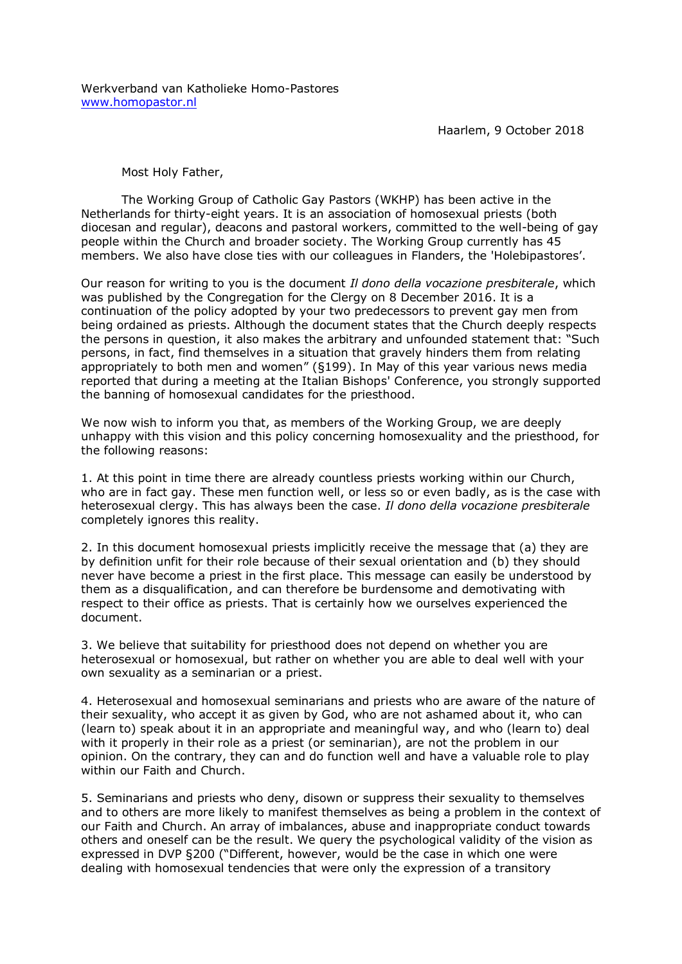Haarlem, 9 October 2018

Most Holy Father,

The Working Group of Catholic Gay Pastors (WKHP) has been active in the Netherlands for thirty-eight years. It is an association of homosexual priests (both diocesan and regular), deacons and pastoral workers, committed to the well-being of gay people within the Church and broader society. The Working Group currently has 45 members. We also have close ties with our colleagues in Flanders, the 'Holebipastores'.

Our reason for writing to you is the document *Il dono della vocazione presbiterale*, which was published by the Congregation for the Clergy on 8 December 2016. It is a continuation of the policy adopted by your two predecessors to prevent gay men from being ordained as priests. Although the document states that the Church deeply respects the persons in question, it also makes the arbitrary and unfounded statement that: "Such persons, in fact, find themselves in a situation that gravely hinders them from relating appropriately to both men and women" (§199). In May of this year various news media reported that during a meeting at the Italian Bishops' Conference, you strongly supported the banning of homosexual candidates for the priesthood.

We now wish to inform you that, as members of the Working Group, we are deeply unhappy with this vision and this policy concerning homosexuality and the priesthood, for the following reasons:

1. At this point in time there are already countless priests working within our Church, who are in fact gay. These men function well, or less so or even badly, as is the case with heterosexual clergy. This has always been the case. *Il dono della vocazione presbiterale* completely ignores this reality.

2. In this document homosexual priests implicitly receive the message that (a) they are by definition unfit for their role because of their sexual orientation and (b) they should never have become a priest in the first place. This message can easily be understood by them as a disqualification, and can therefore be burdensome and demotivating with respect to their office as priests. That is certainly how we ourselves experienced the document.

3. We believe that suitability for priesthood does not depend on whether you are heterosexual or homosexual, but rather on whether you are able to deal well with your own sexuality as a seminarian or a priest.

4. Heterosexual and homosexual seminarians and priests who are aware of the nature of their sexuality, who accept it as given by God, who are not ashamed about it, who can (learn to) speak about it in an appropriate and meaningful way, and who (learn to) deal with it properly in their role as a priest (or seminarian), are not the problem in our opinion. On the contrary, they can and do function well and have a valuable role to play within our Faith and Church.

5. Seminarians and priests who deny, disown or suppress their sexuality to themselves and to others are more likely to manifest themselves as being a problem in the context of our Faith and Church. An array of imbalances, abuse and inappropriate conduct towards others and oneself can be the result. We query the psychological validity of the vision as expressed in DVP §200 ("Different, however, would be the case in which one were dealing with homosexual tendencies that were only the expression of a transitory